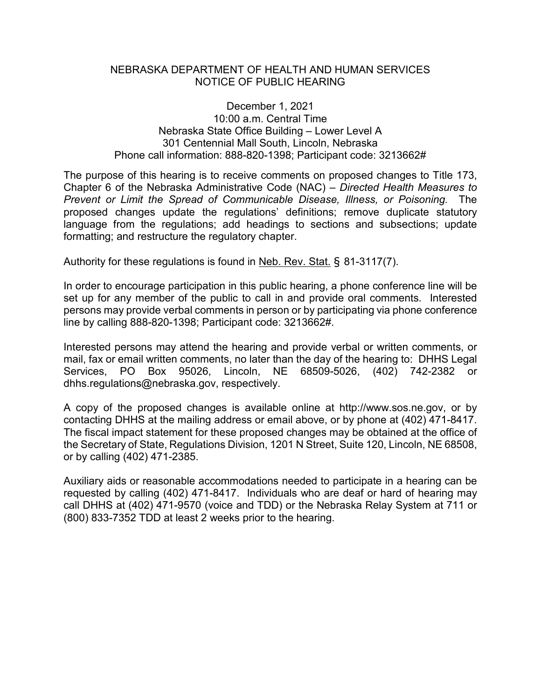## NEBRASKA DEPARTMENT OF HEALTH AND HUMAN SERVICES NOTICE OF PUBLIC HEARING

## December 1, 2021 10:00 a.m. Central Time Nebraska State Office Building – Lower Level A 301 Centennial Mall South, Lincoln, Nebraska Phone call information: 888-820-1398; Participant code: 3213662#

The purpose of this hearing is to receive comments on proposed changes to Title 173, Chapter 6 of the Nebraska Administrative Code (NAC) – *Directed Health Measures to Prevent or Limit the Spread of Communicable Disease, Illness, or Poisoning.* The proposed changes update the regulations' definitions; remove duplicate statutory language from the regulations; add headings to sections and subsections; update formatting; and restructure the regulatory chapter.

Authority for these regulations is found in Neb. Rev. Stat. § 81-3117(7).

In order to encourage participation in this public hearing, a phone conference line will be set up for any member of the public to call in and provide oral comments. Interested persons may provide verbal comments in person or by participating via phone conference line by calling 888-820-1398; Participant code: 3213662#.

Interested persons may attend the hearing and provide verbal or written comments, or mail, fax or email written comments, no later than the day of the hearing to: DHHS Legal Services, PO Box 95026, Lincoln, NE 68509-5026, (402) 742-2382 or dhhs.regulations@nebraska.gov, respectively.

A copy of the proposed changes is available online at http://www.sos.ne.gov, or by contacting DHHS at the mailing address or email above, or by phone at (402) 471-8417. The fiscal impact statement for these proposed changes may be obtained at the office of the Secretary of State, Regulations Division, 1201 N Street, Suite 120, Lincoln, NE 68508, or by calling (402) 471-2385.

Auxiliary aids or reasonable accommodations needed to participate in a hearing can be requested by calling (402) 471-8417. Individuals who are deaf or hard of hearing may call DHHS at (402) 471-9570 (voice and TDD) or the Nebraska Relay System at 711 or (800) 833-7352 TDD at least 2 weeks prior to the hearing.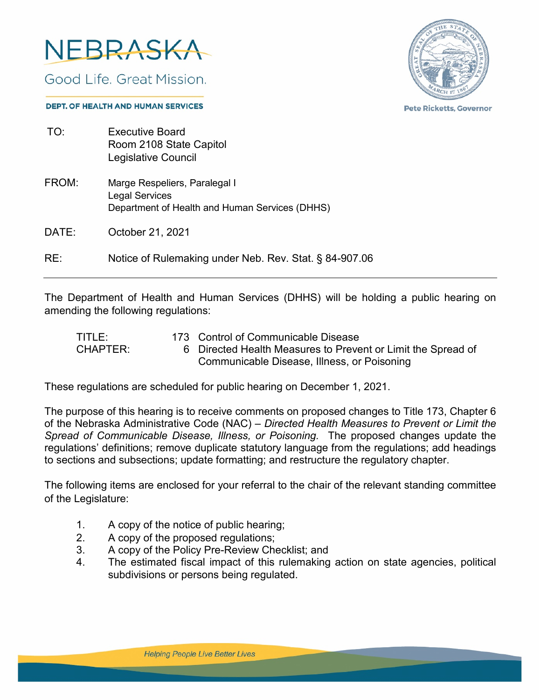

Good Life, Great Mission.



**Pete Ricketts, Governor** 

#### **DEPT. OF HEALTH AND HUMAN SERVICES**

| TO:   | <b>Executive Board</b><br>Room 2108 State Capitol<br>Legislative Council                                 |
|-------|----------------------------------------------------------------------------------------------------------|
| FROM: | Marge Respeliers, Paralegal I<br><b>Legal Services</b><br>Department of Health and Human Services (DHHS) |
| DATE: | October 21, 2021                                                                                         |
| RE:   | Notice of Rulemaking under Neb. Rev. Stat. § 84-907.06                                                   |

The Department of Health and Human Services (DHHS) will be holding a public hearing on amending the following regulations:

| TITLE:          | 173 Control of Communicable Disease                          |
|-----------------|--------------------------------------------------------------|
| <b>CHAPTER:</b> | 6 Directed Health Measures to Prevent or Limit the Spread of |
|                 | Communicable Disease, Illness, or Poisoning                  |

These regulations are scheduled for public hearing on December 1, 2021.

The purpose of this hearing is to receive comments on proposed changes to Title 173, Chapter 6 of the Nebraska Administrative Code (NAC) – *Directed Health Measures to Prevent or Limit the Spread of Communicable Disease, Illness, or Poisoning.* The proposed changes update the regulations' definitions; remove duplicate statutory language from the regulations; add headings to sections and subsections; update formatting; and restructure the regulatory chapter.

The following items are enclosed for your referral to the chair of the relevant standing committee of the Legislature:

- 1. A copy of the notice of public hearing;
- 2. A copy of the proposed regulations;
- 3. A copy of the Policy Pre-Review Checklist; and
- 4. The estimated fiscal impact of this rulemaking action on state agencies, political subdivisions or persons being regulated.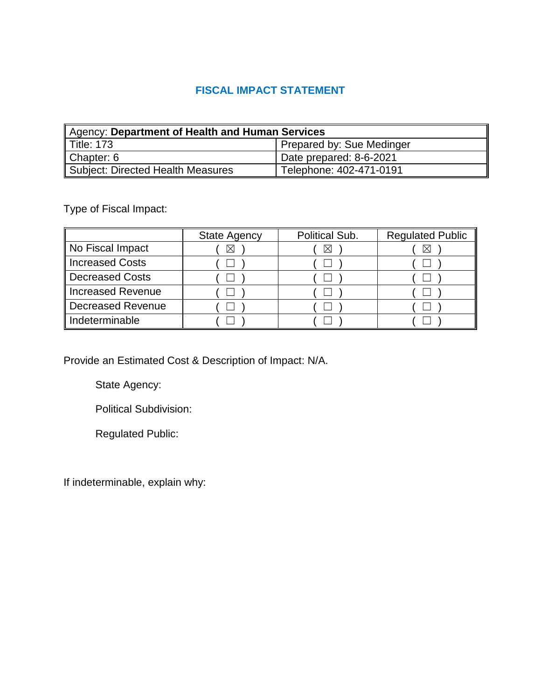# **FISCAL IMPACT STATEMENT**

| Agency: Department of Health and Human Services |                           |  |  |  |  |
|-------------------------------------------------|---------------------------|--|--|--|--|
| ∥ Title: 173                                    | Prepared by: Sue Medinger |  |  |  |  |
| Chapter: 6                                      | Date prepared: 8-6-2021   |  |  |  |  |
| Subject: Directed Health Measures               | Telephone: 402-471-0191   |  |  |  |  |

Type of Fiscal Impact:

|                   | <b>State Agency</b> | Political Sub. | <b>Regulated Public</b> |
|-------------------|---------------------|----------------|-------------------------|
| No Fiscal Impact  | $\boxtimes$         | ⋈              |                         |
| Increased Costs   |                     |                |                         |
| Decreased Costs   |                     |                |                         |
| Increased Revenue |                     |                |                         |
| Decreased Revenue |                     |                |                         |
| Indeterminable    |                     |                |                         |

Provide an Estimated Cost & Description of Impact: N/A.

State Agency:

Political Subdivision:

Regulated Public:

If indeterminable, explain why: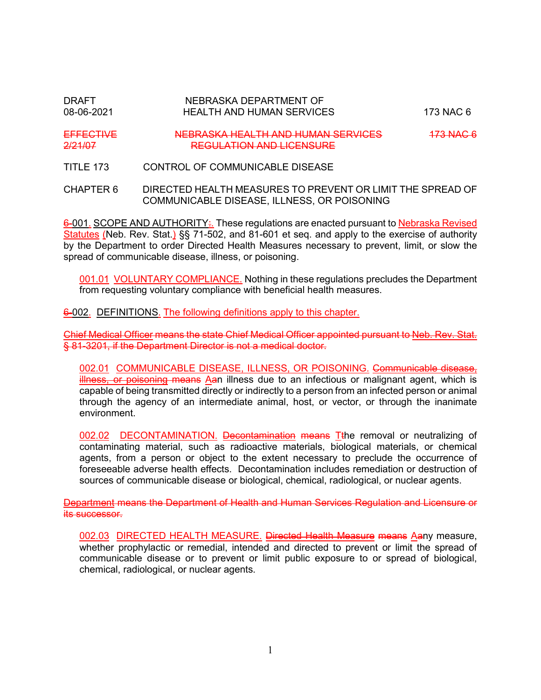# DRAFT NEBRASKA DEPARTMENT OF 08-06-2021 HEALTH AND HUMAN SERVICES 173 NAC 6 EFFECTIVE NEBRASKA HEALTH AND HUMAN SERVICES 473 NAC 6<br>2/21/07 **REGULATION AND LICENSURE**

TITLE 173 CONTROL OF COMMUNICABLE DISEASE

### CHAPTER 6 DIRECTED HEALTH MEASURES TO PREVENT OR LIMIT THE SPREAD OF COMMUNICABLE DISEASE, ILLNESS, OR POISONING

6-001. SCOPE AND AUTHORITY: These regulations are enacted pursuant to Nebraska Revised Statutes (Neb. Rev. Stat.) §§ 71-502, and 81-601 et seq. and apply to the exercise of authority by the Department to order Directed Health Measures necessary to prevent, limit, or slow the spread of communicable disease, illness, or poisoning.

001.01 VOLUNTARY COMPLIANCE. Nothing in these regulations precludes the Department from requesting voluntary compliance with beneficial health measures.

6-002. DEFINITIONS. The following definitions apply to this chapter.

Chief Medical Officer means the state Chief Medical Officer appointed pursuant to Neb. Rev. Stat. § 81-3201, if the Department Director is not a medical doctor.

002.01 COMMUNICABLE DISEASE, ILLNESS, OR POISONING. Communicable disease, illness, or poisoning means Aan illness due to an infectious or malignant agent, which is capable of being transmitted directly or indirectly to a person from an infected person or animal through the agency of an intermediate animal, host, or vector, or through the inanimate environment.

002.02 DECONTAMINATION. Decontamination means Tthe removal or neutralizing of contaminating material, such as radioactive materials, biological materials, or chemical agents, from a person or object to the extent necessary to preclude the occurrence of foreseeable adverse health effects. Decontamination includes remediation or destruction of sources of communicable disease or biological, chemical, radiological, or nuclear agents.

Department means the Department of Health and Human Services Regulation and Licensure or its successor.

002.03 DIRECTED HEALTH MEASURE. Directed Health Measure means Aany measure. whether prophylactic or remedial, intended and directed to prevent or limit the spread of communicable disease or to prevent or limit public exposure to or spread of biological, chemical, radiological, or nuclear agents.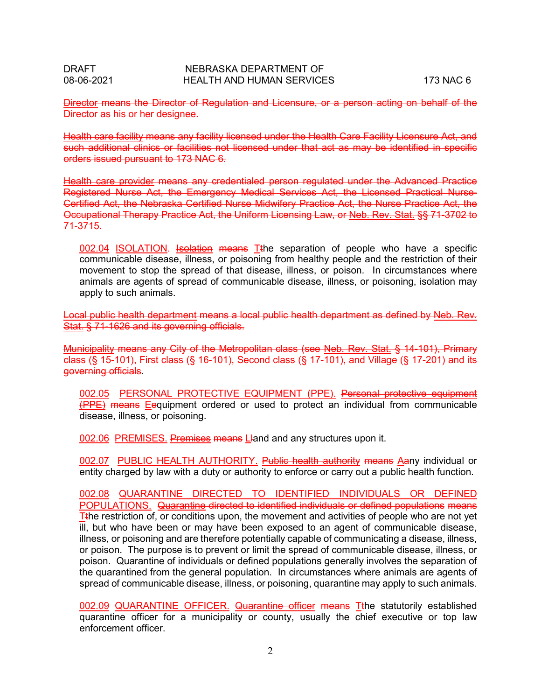Director means the Director of Regulation and Licensure, or a person acting on behalf of the Director as his or her designee.

Health care facility means any facility licensed under the Health Care Facility Licensure Act, and such additional clinics or facilities not licensed under that act as may be identified in specific orders issued pursuant to 173 NAC 6.

Health care provider means any credentialed person regulated under the Advanced Practice Registered Nurse Act, the Emergency Medical Services Act, the Licensed Practical Nurse-Certified Act, the Nebraska Certified Nurse Midwifery Practice Act, the Nurse Practice Act, the Occupational Therapy Practice Act, the Uniform Licensing Law, or Neb. Rev. Stat. §§ 71-3702 to 71-3715.

002.04 ISOLATION. Isolation means Tthe separation of people who have a specific communicable disease, illness, or poisoning from healthy people and the restriction of their movement to stop the spread of that disease, illness, or poison. In circumstances where animals are agents of spread of communicable disease, illness, or poisoning, isolation may apply to such animals.

Local public health department means a local public health department as defined by Neb. Rev. Stat. § 71-1626 and its governing officials.

Municipality means any City of the Metropolitan class (see Neb. Rev. Stat. § 14-101), Primary class (§ 15-101), First class (§ 16-101), Second class (§ 17-101), and Village (§ 17-201) and its governing officials.

002.05 PERSONAL PROTECTIVE EQUIPMENT (PPE). Personal protective equipment (PPE) means Eequipment ordered or used to protect an individual from communicable disease, illness, or poisoning.

002.06 PREMISES. Premises means Lland and any structures upon it.

002.07 PUBLIC HEALTH AUTHORITY. Public health authority means Aany individual or entity charged by law with a duty or authority to enforce or carry out a public health function.

002.08 QUARANTINE DIRECTED TO IDENTIFIED INDIVIDUALS OR DEFINED POPULATIONS. Quarantine directed to identified individuals or defined populations means Tthe restriction of, or conditions upon, the movement and activities of people who are not yet ill, but who have been or may have been exposed to an agent of communicable disease, illness, or poisoning and are therefore potentially capable of communicating a disease, illness, or poison. The purpose is to prevent or limit the spread of communicable disease, illness, or poison. Quarantine of individuals or defined populations generally involves the separation of the quarantined from the general population. In circumstances where animals are agents of spread of communicable disease, illness, or poisoning, quarantine may apply to such animals.

002.09 QUARANTINE OFFICER. Quarantine officer means Tthe statutorily established quarantine officer for a municipality or county, usually the chief executive or top law enforcement officer.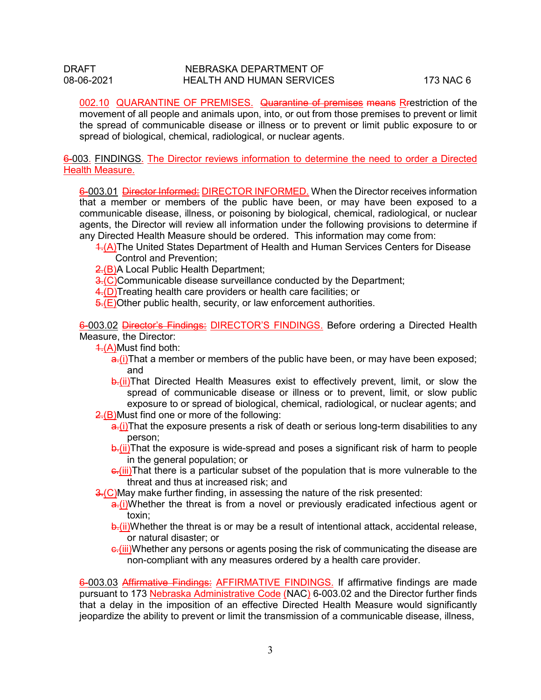002.10 QUARANTINE OF PREMISES. Quarantine of premises means Rrestriction of the movement of all people and animals upon, into, or out from those premises to prevent or limit the spread of communicable disease or illness or to prevent or limit public exposure to or spread of biological, chemical, radiological, or nuclear agents.

6-003. FINDINGS. The Director reviews information to determine the need to order a Directed Health Measure.

6-003.01 Director Informed: DIRECTOR INFORMED. When the Director receives information that a member or members of the public have been, or may have been exposed to a communicable disease, illness, or poisoning by biological, chemical, radiological, or nuclear agents, the Director will review all information under the following provisions to determine if any Directed Health Measure should be ordered. This information may come from:

- 1.(A)The United States Department of Health and Human Services Centers for Disease Control and Prevention;
- 2.(B)A Local Public Health Department;
- 3.(C)Communicable disease surveillance conducted by the Department;
- 4. (D) Treating health care providers or health care facilities; or

 $\overline{5.}$ (E)Other public health, security, or law enforcement authorities.

6-003.02 Director's Findings: DIRECTOR'S FINDINGS. Before ordering a Directed Health Measure, the Director:

- 1.(A)Must find both:
	- $\frac{a}{b}$ (i)That a member or members of the public have been, or may have been exposed; and
	- b.(ii)That Directed Health Measures exist to effectively prevent, limit, or slow the spread of communicable disease or illness or to prevent, limit, or slow public exposure to or spread of biological, chemical, radiological, or nuclear agents; and
- 2.(B)Must find one or more of the following:
	- $a(t)$ That the exposure presents a risk of death or serious long-term disabilities to any person;
	- $\frac{1}{2}$ . (ii)That the exposure is wide-spread and poses a significant risk of harm to people in the general population; or
	- $c$ .(iii)That there is a particular subset of the population that is more vulnerable to the threat and thus at increased risk; and
- 3.(C)May make further finding, in assessing the nature of the risk presented:
	- $a_n(i)$ Whether the threat is from a novel or previously eradicated infectious agent or toxin;
	- $\frac{1}{b}$ . (ii)Whether the threat is or may be a result of intentional attack, accidental release, or natural disaster; or
	- e.(iii)Whether any persons or agents posing the risk of communicating the disease are non-compliant with any measures ordered by a health care provider.

6-003.03 Affirmative Findings: AFFIRMATIVE FINDINGS. If affirmative findings are made pursuant to 173 Nebraska Administrative Code (NAC) 6-003.02 and the Director further finds that a delay in the imposition of an effective Directed Health Measure would significantly jeopardize the ability to prevent or limit the transmission of a communicable disease, illness,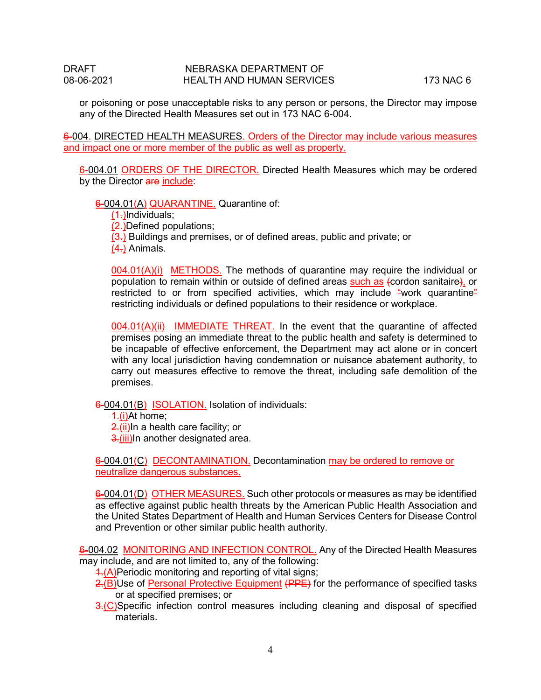or poisoning or pose unacceptable risks to any person or persons, the Director may impose any of the Directed Health Measures set out in 173 NAC 6-004.

6-004. DIRECTED HEALTH MEASURES. Orders of the Director may include various measures and impact one or more member of the public as well as property.

6-004.01 ORDERS OF THE DIRECTOR. Directed Health Measures which may be ordered by the Director are include:

### 6-004.01(A) QUARANTINE. Quarantine of:

(1.)Individuals;

 $(2)$ Defined populations;

 $(3)$ .) Buildings and premises, or of defined areas, public and private; or

 $(4)$  Animals.

004.01(A)(i) METHODS. The methods of quarantine may require the individual or population to remain within or outside of defined areas such as (cordon sanitaire), or restricted to or from specified activities, which may include "work quarantine" restricting individuals or defined populations to their residence or workplace.

004.01(A)(ii) IMMEDIATE THREAT. In the event that the quarantine of affected premises posing an immediate threat to the public health and safety is determined to be incapable of effective enforcement, the Department may act alone or in concert with any local jurisdiction having condemnation or nuisance abatement authority, to carry out measures effective to remove the threat, including safe demolition of the premises.

6-004.01(B) ISOLATION. Isolation of individuals:

1.(i)At home;

2.(ii)In a health care facility; or

3.(iii)In another designated area.

6-004.01(C) DECONTAMINATION. Decontamination may be ordered to remove or neutralize dangerous substances.

6-004.01(D) OTHER MEASURES. Such other protocols or measures as may be identified as effective against public health threats by the American Public Health Association and the United States Department of Health and Human Services Centers for Disease Control and Prevention or other similar public health authority.

6-004.02 MONITORING AND INFECTION CONTROL. Any of the Directed Health Measures may include, and are not limited to, any of the following:

 $\frac{4}{1}$ (A)Periodic monitoring and reporting of vital signs;

 $2.(\overline{B})$ Use of Personal Protective Equipment (PPE) for the performance of specified tasks or at specified premises; or

 $\frac{3}{2}$  (C)Specific infection control measures including cleaning and disposal of specified materials.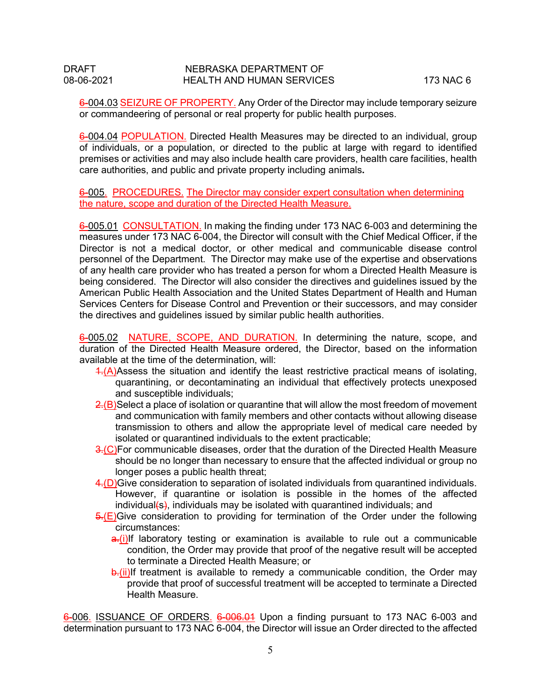### DRAFT NEBRASKA DEPARTMENT OF 08-06-2021 HEALTH AND HUMAN SERVICES 173 NAC 6

6-004.03 SEIZURE OF PROPERTY. Any Order of the Director may include temporary seizure or commandeering of personal or real property for public health purposes.

6-004.04 POPULATION. Directed Health Measures may be directed to an individual, group of individuals, or a population, or directed to the public at large with regard to identified premises or activities and may also include health care providers, health care facilities, health care authorities, and public and private property including animals**.**

6-005. PROCEDURES. The Director may consider expert consultation when determining the nature, scope and duration of the Directed Health Measure.

6-005.01 CONSULTATION. In making the finding under 173 NAC 6-003 and determining the measures under 173 NAC 6-004, the Director will consult with the Chief Medical Officer, if the Director is not a medical doctor, or other medical and communicable disease control personnel of the Department. The Director may make use of the expertise and observations of any health care provider who has treated a person for whom a Directed Health Measure is being considered. The Director will also consider the directives and guidelines issued by the American Public Health Association and the United States Department of Health and Human Services Centers for Disease Control and Prevention or their successors, and may consider the directives and guidelines issued by similar public health authorities.

6-005.02 NATURE, SCOPE, AND DURATION. In determining the nature, scope, and duration of the Directed Health Measure ordered, the Director, based on the information available at the time of the determination, will:

- $\frac{4}{2}$ (A)Assess the situation and identify the least restrictive practical means of isolating, quarantining, or decontaminating an individual that effectively protects unexposed and susceptible individuals;
- $2.$ (B)Select a place of isolation or quarantine that will allow the most freedom of movement and communication with family members and other contacts without allowing disease transmission to others and allow the appropriate level of medical care needed by isolated or quarantined individuals to the extent practicable;
- 3.(C)For communicable diseases, order that the duration of the Directed Health Measure should be no longer than necessary to ensure that the affected individual or group no longer poses a public health threat;
- 4.(D)Give consideration to separation of isolated individuals from quarantined individuals. However, if quarantine or isolation is possible in the homes of the affected individual $\{s\}$ , individuals may be isolated with quarantined individuals; and
- $\frac{5}{6}$  (E)Give consideration to providing for termination of the Order under the following circumstances:
	- $a_n(i)$ If laboratory testing or examination is available to rule out a communicable condition, the Order may provide that proof of the negative result will be accepted to terminate a Directed Health Measure; or
	- **b.**(ii)If treatment is available to remedy a communicable condition, the Order may provide that proof of successful treatment will be accepted to terminate a Directed Health Measure.

6-006. ISSUANCE OF ORDERS. 6-006.01 Upon a finding pursuant to 173 NAC 6-003 and determination pursuant to 173 NAC 6-004, the Director will issue an Order directed to the affected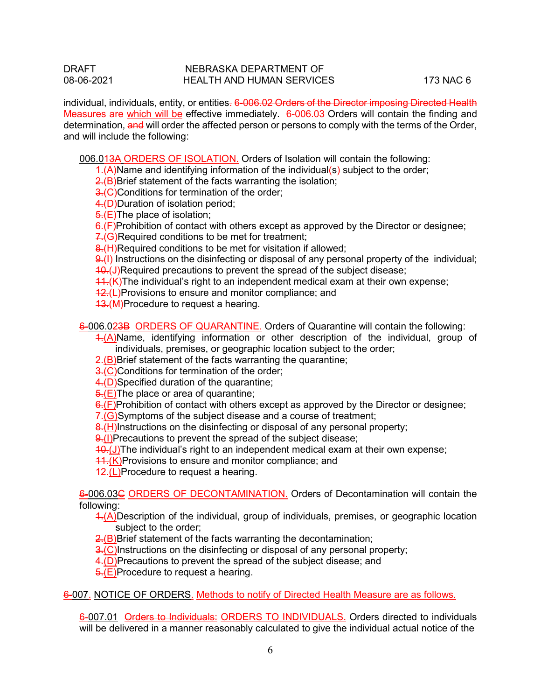#### DRAFT NEBRASKA DEPARTMENT OF 08-06-2021 HEALTH AND HUMAN SERVICES 173 NAC 6

individual, individuals, entity, or entities. 6-006.02 Orders of the Director imposing Directed Health Measures are which will be effective immediately. 6-006.03 Orders will contain the finding and determination, and will order the affected person or persons to comply with the terms of the Order, and will include the following:

006.013A ORDERS OF ISOLATION. Orders of Isolation will contain the following:

 $\frac{1}{2}$ (A)Name and identifying information of the individual (s) subject to the order;

2.(B)Brief statement of the facts warranting the isolation:

3.(C)Conditions for termination of the order;

4.(D)Duration of isolation period;

5.(E)The place of isolation;

 $6(f)$ Prohibition of contact with others except as approved by the Director or designee;

 $7.6$ )Required conditions to be met for treatment;

8.(H)Required conditions to be met for visitation if allowed;

 $\left| \frac{\partial f}{\partial x} \right|$  Instructions on the disinfecting or disposal of any personal property of the individual;

**10.(J)Required precautions to prevent the spread of the subject disease;** 

 $11.$  (K)The individual's right to an independent medical exam at their own expense;

12.(L)Provisions to ensure and monitor compliance; and

43.(M)Procedure to request a hearing.

6-006.023B ORDERS OF QUARANTINE. Orders of Quarantine will contain the following:

 $\frac{1}{2}$ (A)Name, identifying information or other description of the individual, group of individuals, premises, or geographic location subject to the order;

 $2(E)$ Brief statement of the facts warranting the quarantine;

3.(C)Conditions for termination of the order:

4.(D)Specified duration of the quarantine;

 $\frac{1}{5}(E)$ The place or area of quarantine;

 $6(f)$ Prohibition of contact with others except as approved by the Director or designee;

7.(G)Symptoms of the subject disease and a course of treatment;

 $\frac{\partial H}{\partial t}$  H)Instructions on the disinfecting or disposal of any personal property;

9.(I)Precautions to prevent the spread of the subject disease;

 $10.$ (J)The individual's right to an independent medical exam at their own expense;

44.(K)Provisions to ensure and monitor compliance; and

42.(L)Procedure to request a hearing.

6-006.03C ORDERS OF DECONTAMINATION. Orders of Decontamination will contain the following:

1.(A)Description of the individual, group of individuals, premises, or geographic location subject to the order;

 $\angle$  (B)Brief statement of the facts warranting the decontamination;

 $\frac{3.2}{1}$  C) Instructions on the disinfecting or disposal of any personal property;

4.(D)Precautions to prevent the spread of the subject disease; and

 $\frac{1}{2}$  (E)Procedure to request a hearing.

6-007. NOTICE OF ORDERS. Methods to notify of Directed Health Measure are as follows.

6-007.01 Orders to Individuals: ORDERS TO INDIVIDUALS. Orders directed to individuals will be delivered in a manner reasonably calculated to give the individual actual notice of the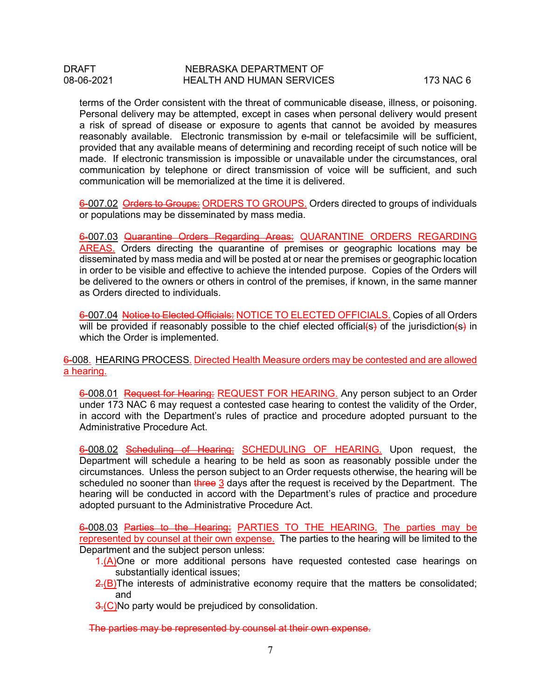terms of the Order consistent with the threat of communicable disease, illness, or poisoning. Personal delivery may be attempted, except in cases when personal delivery would present a risk of spread of disease or exposure to agents that cannot be avoided by measures reasonably available. Electronic transmission by e-mail or telefacsimile will be sufficient, provided that any available means of determining and recording receipt of such notice will be made. If electronic transmission is impossible or unavailable under the circumstances, oral communication by telephone or direct transmission of voice will be sufficient, and such communication will be memorialized at the time it is delivered.

6-007.02 Orders to Groups: ORDERS TO GROUPS. Orders directed to groups of individuals or populations may be disseminated by mass media.

6-007.03 Quarantine Orders Regarding Areas: QUARANTINE ORDERS REGARDING AREAS. Orders directing the quarantine of premises or geographic locations may be disseminated by mass media and will be posted at or near the premises or geographic location in order to be visible and effective to achieve the intended purpose. Copies of the Orders will be delivered to the owners or others in control of the premises, if known, in the same manner as Orders directed to individuals.

6-007.04 Notice to Elected Officials: NOTICE TO ELECTED OFFICIALS. Copies of all Orders will be provided if reasonably possible to the chief elected official(s) of the jurisdiction(s) in which the Order is implemented.

6-008. HEARING PROCESS. Directed Health Measure orders may be contested and are allowed a hearing.

6-008.01 Request for Hearing: REQUEST FOR HEARING. Any person subject to an Order under 173 NAC 6 may request a contested case hearing to contest the validity of the Order, in accord with the Department's rules of practice and procedure adopted pursuant to the Administrative Procedure Act.

6-008.02 Scheduling of Hearing: SCHEDULING OF HEARING. Upon request, the Department will schedule a hearing to be held as soon as reasonably possible under the circumstances. Unless the person subject to an Order requests otherwise, the hearing will be scheduled no sooner than three 3 days after the request is received by the Department. The hearing will be conducted in accord with the Department's rules of practice and procedure adopted pursuant to the Administrative Procedure Act.

6-008.03 Parties to the Hearing: PARTIES TO THE HEARING. The parties may be represented by counsel at their own expense. The parties to the hearing will be limited to the Department and the subject person unless:

- 1.(A)One or more additional persons have requested contested case hearings on substantially identical issues;
- $2(E)$ The interests of administrative economy require that the matters be consolidated; and
- 3.(C)No party would be prejudiced by consolidation.

The parties may be represented by counsel at their own expense.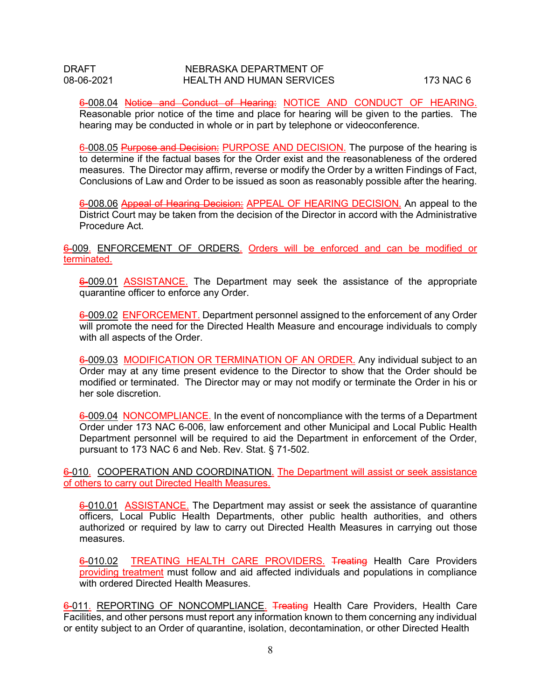6-008.04 Notice and Conduct of Hearing: NOTICE AND CONDUCT OF HEARING. Reasonable prior notice of the time and place for hearing will be given to the parties. The hearing may be conducted in whole or in part by telephone or videoconference.

6-008.05 Purpose and Decision: PURPOSE AND DECISION. The purpose of the hearing is to determine if the factual bases for the Order exist and the reasonableness of the ordered measures. The Director may affirm, reverse or modify the Order by a written Findings of Fact, Conclusions of Law and Order to be issued as soon as reasonably possible after the hearing.

6-008.06 Appeal of Hearing Decision: APPEAL OF HEARING DECISION. An appeal to the District Court may be taken from the decision of the Director in accord with the Administrative Procedure Act.

6-009. ENFORCEMENT OF ORDERS. Orders will be enforced and can be modified or terminated.

6-009.01 ASSISTANCE. The Department may seek the assistance of the appropriate quarantine officer to enforce any Order.

6-009.02 ENFORCEMENT. Department personnel assigned to the enforcement of any Order will promote the need for the Directed Health Measure and encourage individuals to comply with all aspects of the Order.

6-009.03 MODIFICATION OR TERMINATION OF AN ORDER. Any individual subject to an Order may at any time present evidence to the Director to show that the Order should be modified or terminated. The Director may or may not modify or terminate the Order in his or her sole discretion.

6-009.04 NONCOMPLIANCE. In the event of noncompliance with the terms of a Department Order under 173 NAC 6-006, law enforcement and other Municipal and Local Public Health Department personnel will be required to aid the Department in enforcement of the Order, pursuant to 173 NAC 6 and Neb. Rev. Stat. § 71-502.

6-010. COOPERATION AND COORDINATION. The Department will assist or seek assistance of others to carry out Directed Health Measures.

6-010.01 ASSISTANCE. The Department may assist or seek the assistance of quarantine officers, Local Public Health Departments, other public health authorities, and others authorized or required by law to carry out Directed Health Measures in carrying out those measures.

6-010.02 TREATING HEALTH CARE PROVIDERS. Treating Health Care Providers providing treatment must follow and aid affected individuals and populations in compliance with ordered Directed Health Measures.

6-011. REPORTING OF NONCOMPLIANCE. Treating Health Care Providers, Health Care Facilities, and other persons must report any information known to them concerning any individual or entity subject to an Order of quarantine, isolation, decontamination, or other Directed Health